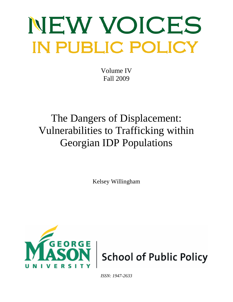# NEW VOICES **IN PUBLIC POLICY**

Volume IV Fall 2009

# The Dangers of Displacement: Vulnerabilities to Trafficking within Georgian IDP Populations

Kelsey Willingham



*ISSN: 1947-2633*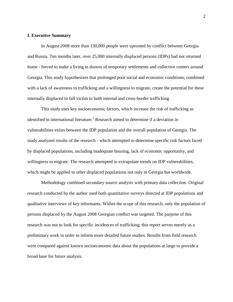# **I. Executive Summary**

In August 2008 more than 130,000 people were uprooted by conflict between Georgia and Russia. Ten months later, over 25,000 internally displaced persons (IDPs) had not returned home - forced to make a living in dozens of temporary settlements and collective centers around Georgia. This study hypothesizes that prolonged poor social and economic conditions, combined with a lack of awareness to trafficking and a willingness to migrate, create the potential for these internally displaced to fall victim to both internal and cross-border trafficking

This study uses key socioeconomic factors, which increase the risk of trafficking as identified in international literature.<sup>1</sup> Research aimed to determine if a deviation in vulnerabilities exists between the IDP population and the overall population of Georgia. The study analyzed results of the research - which attempted to determine specific risk factors faced by displaced populations, including inadequate housing, lack of economic opportunity, and willingness to migrate. The research attempted to extrapolate trends on IDP vulnerabilities, which might be applied to other displaced populations not only in Georgia but worldwide.

Methodology combined secondary source analysis with primary data collection. Original research conducted by the author used both quantitative surveys directed at IDP populations and qualitative interviews of key informants. Within the scope of this research, only the population of persons displaced by the August 2008 Georgian conflict was targeted. The purpose of this research was not to look for specific incidences of trafficking; this report serves merely as a preliminary work in order to inform more detailed future studies. Results from field research were compared against known socioeconomic data about the populations at large to provide a broad base for future analysis.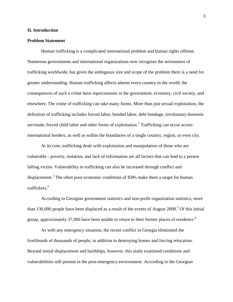# **II. Introduction**

# **Problem Statement**

Human trafficking is a complicated international problem and human rights offense. Numerous governments and international organizations now recognize the seriousness of trafficking worldwide, but given the ambiguous size and scope of the problem there is a need for greater understanding. Human trafficking affects almost every country in the world; the consequences of such a crime have repercussions in the government, economy, civil society, and elsewhere. The crime of trafficking can take many forms. More than just sexual exploitation, the definition of trafficking includes forced labor, bonded labor, debt bondage, involuntary domestic servitude, forced child labor and other forms of exploitation.<sup>2</sup> Trafficking can occur across international borders, as well as within the boundaries of a single country, region, or even city.

At its core, trafficking deals with exploitation and manipulation of those who are vulnerable - poverty, isolation, and lack of information are all factors that can lead to a person falling victim. Vulnerability to trafficking can also be increased through conflict and displacement.<sup>3</sup> The often poor economic conditions of IDPs make them a target for human traffickers.<sup>4</sup>

According to Georgian government statistics and non-profit organization statistics, more than 130,000 people have been displaced as a result of the events of August  $2008<sup>5</sup>$  Of this initial group, approximately 37,000 have been unable to return to their former places of residence.<sup>6</sup>

As with any emergency situation, the recent conflict in Georgia eliminated the livelihoods of thousands of people, in addition to destroying homes and forcing relocation. Beyond initial displacement and hardships, however, this study examined conditions and vulnerabilities still present in the post-emergency environment. According to the Georgian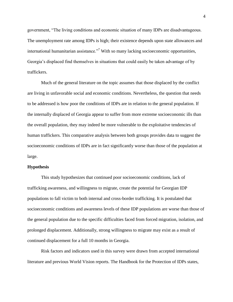government, "The living conditions and economic situation of many IDPs are disadvantageous. The unemployment rate among IDPs is high; their existence depends upon state allowances and international humanitarian assistance.<sup>77</sup> With so many lacking socioeconomic opportunities, Georgia's displaced find themselves in situations that could easily be taken advantage of by traffickers.

Much of the general literature on the topic assumes that those displaced by the conflict are living in unfavorable social and economic conditions. Nevertheless, the question that needs to be addressed is how poor the conditions of IDPs are in relation to the general population. If the internally displaced of Georgia appear to suffer from more extreme socioeconomic ills than the overall population, they may indeed be more vulnerable to the exploitative tendencies of human traffickers. This comparative analysis between both groups provides data to suggest the socioeconomic conditions of IDPs are in fact significantly worse than those of the population at large.

#### **Hypothesis**

This study hypothesizes that continued poor socioeconomic conditions, lack of trafficking awareness, and willingness to migrate, create the potential for Georgian IDP populations to fall victim to both internal and cross-border trafficking. It is postulated that socioeconomic conditions and awareness levels of these IDP populations are worse than those of the general population due to the specific difficulties faced from forced migration, isolation, and prolonged displacement. Additionally, strong willingness to migrate may exist as a result of continued displacement for a full 10 months in Georgia.

Risk factors and indicators used in this survey were drawn from accepted international literature and previous World Vision reports. The Handbook for the Protection of IDPs states,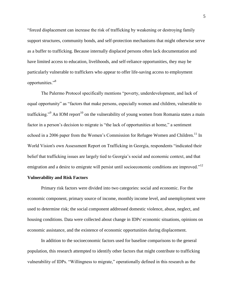―forced displacement can increase the risk of trafficking by weakening or destroying family support structures, community bonds, and self-protection mechanisms that might otherwise serve as a buffer to trafficking. Because internally displaced persons often lack documentation and have limited access to education, livelihoods, and self-reliance opportunities, they may be particularly vulnerable to traffickers who appear to offer life-saving access to employment opportunities."<sup>8</sup>

The Palermo Protocol specifically mentions "poverty, underdevelopment, and lack of equal opportunity" as "factors that make persons, especially women and children, vulnerable to trafficking."<sup>9</sup> An IOM report<sup>10</sup> on the vulnerability of young women from Romania states a main factor in a person's decision to migrate is "the lack of opportunities at home," a sentiment echoed in a 2006 paper from the Women's Commission for Refugee Women and Children.<sup>11</sup> In World Vision's own Assessment Report on Trafficking in Georgia, respondents "indicated their belief that trafficking issues are largely tied to Georgia's social and economic context, and that emigration and a desire to emigrate will persist until socioeconomic conditions are improved."<sup>12</sup>

# **Vulnerability and Risk Factors**

Primary risk factors were divided into two categories: social and economic. For the economic component, primary source of income, monthly income level, and unemployment were used to determine risk; the social component addressed domestic violence, abuse, neglect, and housing conditions. Data were collected about change in IDPs' economic situations, opinions on economic assistance, and the existence of economic opportunities during displacement.

In addition to the socioeconomic factors used for baseline comparisons to the general population, this research attempted to identify other factors that might contribute to trafficking vulnerability of IDPs. "Willingness to migrate," operationally defined in this research as the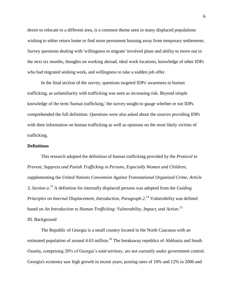desire to relocate to a different area, is a common theme seen in many displaced populations wishing to either return home or find more permanent housing away from temporary settlements. Survey questions dealing with 'willingness to migrate' involved plans and ability to move out in the next six months, thoughts on working abroad, ideal work locations, knowledge of other IDPs who had migrated seeking work, and willingness to take a sudden job offer.

In the final section of the survey, questions targeted IDPs' awareness to human trafficking, as unfamiliarity with trafficking was seen as increasing risk. Beyond simple knowledge of the term 'human trafficking,' the survey sought to gauge whether or not IDPs comprehended the full definition. Questions were also asked about the sources providing IDPs with their information on human trafficking as well as opinions on the most likely victims of trafficking.

#### **Definitions**

This research adopted the definition of human trafficking provided by the *Protocol to Prevent, Suppress and Punish Trafficking in Persons, Especially Women and Children*, supplementing the *United Nations Convention Against Transnational Organized Crime, Article 3, Section a*. <sup>13</sup> A definition for internally displaced persons was adopted from the *Guiding Principles on Internal Displacement, Introduction, Paragraph 2*. <sup>14</sup> Vulnerability was defined based on *An Introduction to Human Trafficking: Vulnerability, Impact, and Action*. 15 III. Background

The Republic of Georgia is a small country located in the North Caucasus with an estimated population of around 4.63 million.<sup>16</sup> The breakaway republics of Abkhazia and South Ossetia, comprising 20% of Georgia's total territory, are not currently under government control. Georgia's economy saw high growth in recent years, posting rates of 10% and 12% in 2006 and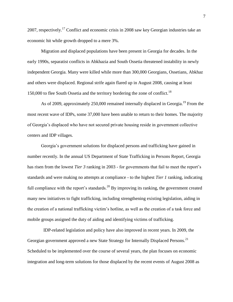2007, respectively.<sup>17</sup> Conflict and economic crisis in 2008 saw key Georgian industries take an economic hit while growth dropped to a mere 3%.

Migration and displaced populations have been present in Georgia for decades. In the early 1990s, separatist conflicts in Abkhazia and South Ossetia threatened instability in newly independent Georgia. Many were killed while more than 300,000 Georgians, Ossetians, Abkhaz and others were displaced. Regional strife again flared up in August 2008, causing at least 150,000 to flee South Ossetia and the territory bordering the zone of conflict.<sup>18</sup>

As of 2009, approximately 250,000 remained internally displaced in Georgia.<sup>19</sup> From the most recent wave of IDPs, some 37,000 have been unable to return to their homes. The majority of Georgia's displaced who have not secured private housing reside in government collective centers and IDP villages.

Georgia's government solutions for displaced persons and trafficking have gained in number recently. In the annual US Department of State Trafficking in Persons Report, Georgia has risen from the lowest *Tier 3* ranking in 2003 - for governments that fail to meet the report's standards and were making no attempts at compliance - to the highest *Tier 1* ranking, indicating full compliance with the report's standards.<sup>20</sup> By improving its ranking, the government created many new initiatives to fight trafficking, including strengthening existing legislation, aiding in the creation of a national trafficking victim's hotline, as well as the creation of a task force and mobile groups assigned the duty of aiding and identifying victims of trafficking.

 IDP-related legislation and policy have also improved in recent years. In 2009, the Georgian government approved a new State Strategy for Internally Displaced Persons.<sup>21</sup> Scheduled to be implemented over the course of several years, the plan focuses on economic integration and long-term solutions for those displaced by the recent events of August 2008 as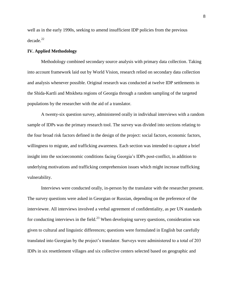well as in the early 1990s, seeking to amend insufficient IDP policies from the previous decade.<sup>22</sup>

# **IV. Applied Methodology**

Methodology combined secondary source analysis with primary data collection. Taking into account framework laid out by World Vision, research relied on secondary data collection and analysis whenever possible. Original research was conducted at twelve IDP settlements in the Shida-Kartli and Mtskheta regions of Georgia through a random sampling of the targeted populations by the researcher with the aid of a translator.

A twenty-six question survey, administered orally in individual interviews with a random sample of IDPs was the primary research tool. The survey was divided into sections relating to the four broad risk factors defined in the design of the project: social factors, economic factors, willingness to migrate, and trafficking awareness. Each section was intended to capture a brief insight into the socioeconomic conditions facing Georgia's IDPs post-conflict, in addition to underlying motivations and trafficking comprehension issues which might increase trafficking vulnerability.

Interviews were conducted orally, in-person by the translator with the researcher present. The survey questions were asked in Georgian or Russian, depending on the preference of the interviewee. All interviews involved a verbal agreement of confidentiality, as per UN standards for conducting interviews in the field.<sup>23</sup> When developing survey questions, consideration was given to cultural and linguistic differences; questions were formulated in English but carefully translated into Georgian by the project's translator. Surveys were administered to a total of 203 IDPs in six resettlement villages and six collective centers selected based on geographic and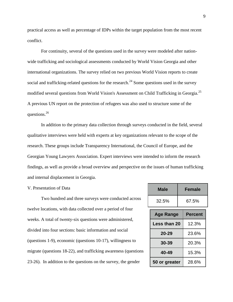practical access as well as percentage of IDPs within the target population from the most recent conflict.

For continuity, several of the questions used in the survey were modeled after nationwide trafficking and sociological assessments conducted by World Vision Georgia and other international organizations. The survey relied on two previous World Vision reports to create social and trafficking-related questions for the research.<sup>24</sup> Some questions used in the survey modified several questions from World Vision's Assessment on Child Trafficking in Georgia.<sup>25</sup> A previous UN report on the protection of refugees was also used to structure some of the questions.<sup>26</sup>

In addition to the primary data collection through surveys conducted in the field, several qualitative interviews were held with experts at key organizations relevant to the scope of the research. These groups include Transparency International, the Council of Europe, and the Georgian Young Lawyers Association. Expert interviews were intended to inform the research findings, as well as provide a broad overview and perspective on the issues of human trafficking and internal displacement in Georgia.

# V. Presentation of Data

Two hundred and three surveys were conducted across twelve locations, with data collected over a period of four weeks. A total of twenty-six questions were administered, divided into four sections: basic information and social (questions 1-9), economic (questions 10-17), willingness to migrate (questions 18-22), and trafficking awareness (questions 23-26). In addition to the questions on the survey, the gender

| Male                | Female         |
|---------------------|----------------|
| 32.5%               | 67.5%          |
| <b>Age Range</b>    | <b>Percent</b> |
| <b>Less than 20</b> | 12.3%          |
| 20-29               | 23.6%          |
| 30-39               | 20.3%          |
| 40-49               | 15.3%          |
| 50 or greater       | 28.6%          |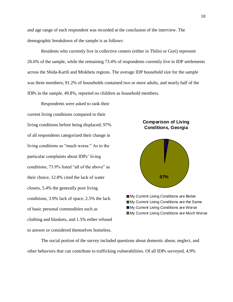and age range of each respondent was recorded at the conclusion of the interview. The demographic breakdown of the sample is as follows:

Residents who currently live in collective centers (either in Tbilisi or Gori) represent 26.6% of the sample, while the remaining 73.4% of respondents currently live in IDP settlements across the Shida-Kartli and Mtskheta regions. The average IDP household size for the sample was three members; 91.2% of households contained two or more adults, and nearly half of the IDPs in the sample, 49.8%, reported no children as household members.

Respondents were asked to rank their current living conditions compared to their living conditions before being displaced; 97% of all respondents categorized their change in living conditions as "much worse." As to the particular complaints about IDPs' living conditions, 73.9% listed "all of the above" as their choice, 12.8% cited the lack of water closets, 5.4% the generally poor living conditions, 3.9% lack of space, 2.5% the lack of basic personal commodities such as clothing and blankets, and 1.5% either refused to answer or considered themselves homeless.





The social portion of the survey included questions about domestic abuse, neglect, and other behaviors that can contribute to trafficking vulnerabilities. Of all IDPs surveyed, 4.9%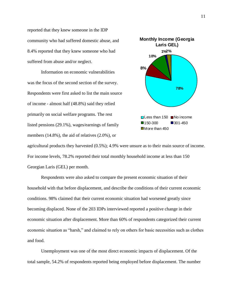reported that they knew someone in the IDP community who had suffered domestic abuse, and 8.4% reported that they knew someone who had suffered from abuse and/or neglect.

Information on economic vulnerabilities was the focus of the second section of the survey. Respondents were first asked to list the main source of income - almost half (48.8%) said they relied primarily on social welfare programs. The rest listed pensions (29.1%), wages/earnings of family members (14.8%), the aid of relatives (2.0%), or



agricultural products they harvested (0.5%); 4.9% were unsure as to their main source of income. For income levels, 78.2% reported their total monthly household income at less than 150 Georgian Laris (GEL) per month.

Respondents were also asked to compare the present economic situation of their household with that before displacement, and describe the conditions of their current economic conditions. 98% claimed that their current economic situation had worsened greatly since becoming displaced. None of the 203 IDPs interviewed reported a positive change in their economic situation after displacement. More than 60% of respondents categorized their current economic situation as "harsh," and claimed to rely on others for basic necessities such as clothes and food.

Unemployment was one of the most direct economic impacts of displacement. Of the total sample, 54.2% of respondents reported being employed before displacement. The number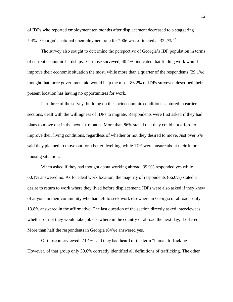of IDPs who reported employment ten months after displacement decreased to a staggering 5.4%. Georgia's national unemployment rate for 2006 was estimated at 32.2%.<sup>27</sup>

The survey also sought to determine the perspective of Georgia's IDP population in terms of current economic hardships. Of those surveyed, 40.4% indicated that finding work would improve their economic situation the most, while more than a quarter of the respondents (29.1%) thought that more government aid would help the most. 86.2% of IDPs surveyed described their present location has having no opportunities for work.

Part three of the survey, building on the socioeconomic conditions captured in earlier sections, dealt with the willingness of IDPs to migrate. Respondents were first asked if they had plans to move out in the next six months. More than 86% stated that they could not afford to improve their living conditions, regardless of whether or not they desired to move. Just over 5% said they planned to move out for a better dwelling, while 17% were unsure about their future housing situation.

When asked if they had thought about working abroad, 39.9% responded yes while 60.1% answered no. As for ideal work location, the majority of respondents (66.0%) stated a desire to return to work where they lived before displacement. IDPs were also asked if they knew of anyone in their community who had left to seek work elsewhere in Georgia or abroad - only 13.8% answered in the affirmative. The last question of the section directly asked interviewees whether or not they would take job elsewhere in the country or abroad the next day, if offered. More than half the respondents in Georgia (64%) answered yes.

Of those interviewed, 73.4% said they had heard of the term "human trafficking." However, of that group only 39.6% correctly identified all definitions of trafficking. The other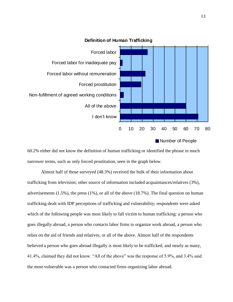

# **Definition of Human Trafficking**

60.2% either did not know the definition of human trafficking or identified the phrase in much narrower terms, such as only forced prostitution, seen in the graph below.

Almost half of those surveyed (48.3%) received the bulk of their information about trafficking from television; other source of information included acquaintances/relatives (3%), advertisements (1.5%), the press (1%), or all of the above (18.7%). The final question on human trafficking dealt with IDP perceptions of trafficking and vulnerability; respondents were asked which of the following people was most likely to fall victim to human trafficking: a person who goes illegally abroad, a person who contacts labor firms to organize work abroad, a person who relies on the aid of friends and relatives, or all of the above. Almost half of the respondents believed a person who goes abroad illegally is most likely to be trafficked, and nearly as many, 41.4%, claimed they did not know. "All of the above" was the response of 5.9%, and 3.4% said the most vulnerable was a person who contacted firms organizing labor abroad.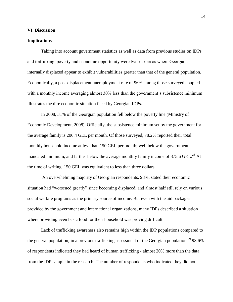#### **VI. Discussion**

## **Implications**

Taking into account government statistics as well as data from previous studies on IDPs and trafficking, poverty and economic opportunity were two risk areas where Georgia's internally displaced appear to exhibit vulnerabilities greater than that of the general population. Economically, a post-displacement unemployment rate of 96% among those surveyed coupled with a monthly income averaging almost 30% less than the government's subsistence minimum illustrates the dire economic situation faced by Georgian IDPs.

In 2008, 31% of the Georgian population fell below the poverty line (Ministry of Economic Development, 2008). Officially, the subsistence minimum set by the government for the average family is 206.4 GEL per month. Of those surveyed, 78.2% reported their total monthly household income at less than 150 GEL per month; well below the governmentmandated minimum, and farther below the average monthly family income of 375.6 GEL.<sup>28</sup> At the time of writing, 150 GEL was equivalent to less than three dollars.

An overwhelming majority of Georgian respondents, 98%, stated their economic situation had "worsened greatly" since becoming displaced, and almost half still rely on various social welfare programs as the primary source of income. But even with the aid packages provided by the government and international organizations, many IDPs described a situation where providing even basic food for their household was proving difficult.

Lack of trafficking awareness also remains high within the IDP populations compared to the general population; in a previous trafficking assessment of the Georgian population,  $29$  93.6% of respondents indicated they had heard of human trafficking - almost 20% more than the data from the IDP sample in the research. The number of respondents who indicated they did not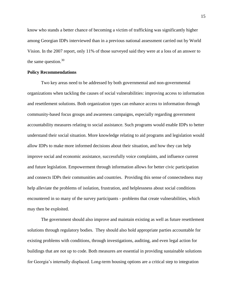know who stands a better chance of becoming a victim of trafficking was significantly higher among Georgian IDPs interviewed than in a previous national assessment carried out by World Vision. In the 2007 report, only 11% of those surveyed said they were at a loss of an answer to the same question. $30$ 

#### **Policy Recommendations**

Two key areas need to be addressed by both governmental and non-governmental organizations when tackling the causes of social vulnerabilities: improving access to information and resettlement solutions. Both organization types can enhance access to information through community-based focus groups and awareness campaigns, especially regarding government accountability measures relating to social assistance. Such programs would enable IDPs to better understand their social situation. More knowledge relating to aid programs and legislation would allow IDPs to make more informed decisions about their situation, and how they can help improve social and economic assistance, successfully voice complaints, and influence current and future legislation. Empowerment through information allows for better civic participation and connects IDPs their communities and countries. Providing this sense of connectedness may help alleviate the problems of isolation, frustration, and helplessness about social conditions encountered in so many of the survey participants - problems that create vulnerabilities, which may then be exploited.

The government should also improve and maintain existing as well as future resettlement solutions through regulatory bodies. They should also hold appropriate parties accountable for existing problems with conditions, through investigations, auditing, and even legal action for buildings that are not up to code. Both measures are essential in providing sustainable solutions for Georgia's internally displaced. Long-term housing options are a critical step to integration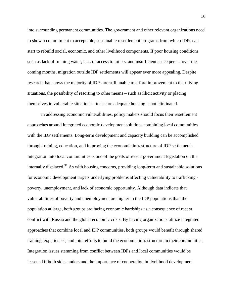into surrounding permanent communities. The government and other relevant organizations need to show a commitment to acceptable, sustainable resettlement programs from which IDPs can start to rebuild social, economic, and other livelihood components. If poor housing conditions such as lack of running water, lack of access to toilets, and insufficient space persist over the coming months, migration outside IDP settlements will appear ever more appealing. Despite research that shows the majority of IDPs are still unable to afford improvement to their living situations, the possibility of resorting to other means – such as illicit activity or placing themselves in vulnerable situations – to secure adequate housing is not eliminated.

In addressing economic vulnerabilities, policy makers should focus their resettlement approaches around integrated economic development solutions combining local communities with the IDP settlements. Long-term development and capacity building can be accomplished through training, education, and improving the economic infrastructure of IDP settlements. Integration into local communities is one of the goals of recent government legislation on the internally displaced.<sup>31</sup> As with housing concerns, providing long-term and sustainable solutions for economic development targets underlying problems affecting vulnerability to trafficking poverty, unemployment, and lack of economic opportunity. Although data indicate that vulnerabilities of poverty and unemployment are higher in the IDP populations than the population at large, both groups are facing economic hardships as a consequence of recent conflict with Russia and the global economic crisis. By having organizations utilize integrated approaches that combine local and IDP communities, both groups would benefit through shared training, experiences, and joint efforts to build the economic infrastructure in their communities. Integration issues stemming from conflict between IDPs and local communities would be lessened if both sides understand the importance of cooperation in livelihood development.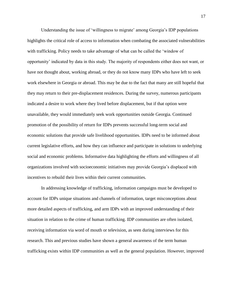Understanding the issue of 'willingness to migrate' among Georgia's IDP populations highlights the critical role of access to information when combating the associated vulnerabilities with trafficking. Policy needs to take advantage of what can be called the 'window of opportunity' indicated by data in this study. The majority of respondents either does not want, or have not thought about, working abroad, or they do not know many IDPs who have left to seek work elsewhere in Georgia or abroad. This may be due to the fact that many are still hopeful that they may return to their pre-displacement residences. During the survey, numerous participants indicated a desire to work where they lived before displacement, but if that option were unavailable, they would immediately seek work opportunities outside Georgia. Continued promotion of the possibility of return for IDPs prevents successful long-term social and economic solutions that provide safe livelihood opportunities. IDPs need to be informed about current legislative efforts, and how they can influence and participate in solutions to underlying social and economic problems. Informative data highlighting the efforts and willingness of all organizations involved with socioeconomic initiatives may provide Georgia's displaced with incentives to rebuild their lives within their current communities.

In addressing knowledge of trafficking, information campaigns must be developed to account for IDPs unique situations and channels of information, target misconceptions about more detailed aspects of trafficking, and arm IDPs with an improved understanding of their situation in relation to the crime of human trafficking. IDP communities are often isolated, receiving information via word of mouth or television, as seen during interviews for this research. This and previous studies have shown a general awareness of the term human trafficking exists within IDP communities as well as the general population. However, improved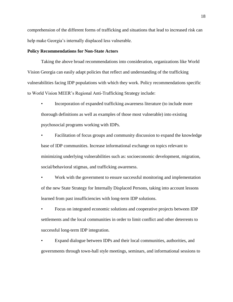comprehension of the different forms of trafficking and situations that lead to increased risk can help make Georgia's internally displaced less vulnerable.

# **Policy Recommendations for Non-State Actors**

Taking the above broad recommendations into consideration, organizations like World Vision Georgia can easily adapt policies that reflect and understanding of the trafficking vulnerabilities facing IDP populations with which they work. Policy recommendations specific to World Vision MEER's Regional Anti-Trafficking Strategy include:

• Incorporation of expanded trafficking awareness literature (to include more thorough definitions as well as examples of those most vulnerable) into existing psychosocial programs working with IDPs.

• Facilitation of focus groups and community discussion to expand the knowledge base of IDP communities. Increase informational exchange on topics relevant to minimizing underlying vulnerabilities such as: socioeconomic development, migration, social/behavioral stigmas, and trafficking awareness.

• Work with the government to ensure successful monitoring and implementation of the new State Strategy for Internally Displaced Persons, taking into account lessons learned from past insufficiencies with long-term IDP solutions.

• Focus on integrated economic solutions and cooperative projects between IDP settlements and the local communities in order to limit conflict and other deterrents to successful long-term IDP integration.

• Expand dialogue between IDPs and their local communities, authorities, and governments through town-hall style meetings, seminars, and informational sessions to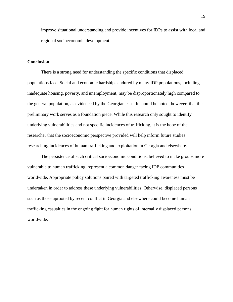improve situational understanding and provide incentives for IDPs to assist with local and regional socioeconomic development.

# **Conclusion**

There is a strong need for understanding the specific conditions that displaced populations face. Social and economic hardships endured by many IDP populations, including inadequate housing, poverty, and unemployment, may be disproportionately high compared to the general population, as evidenced by the Georgian case. It should be noted, however, that this preliminary work serves as a foundation piece. While this research only sought to identify underlying vulnerabilities and not specific incidences of trafficking, it is the hope of the researcher that the socioeconomic perspective provided will help inform future studies researching incidences of human trafficking and exploitation in Georgia and elsewhere.

The persistence of such critical socioeconomic conditions, believed to make groups more vulnerable to human trafficking, represent a common danger facing IDP communities worldwide. Appropriate policy solutions paired with targeted trafficking awareness must be undertaken in order to address these underlying vulnerabilities. Otherwise, displaced persons such as those uprooted by recent conflict in Georgia and elsewhere could become human trafficking casualties in the ongoing fight for human rights of internally displaced persons worldwide.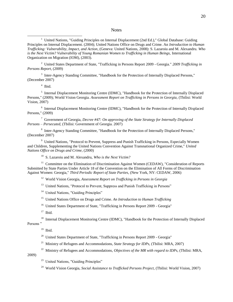#### **Notes**

<sup>1</sup> United Nations, "Guiding Principles on Internal Displacement (2nd Ed.)," Global Database: Guiding Principles on Internal Displacement. (2004); United Nations Office on Drugs and Crime. An *Introduction to Human Trafficking: Vulnerability, Impact, and Action*, (Geneva: United Nations, 2008): S. Lazaroiu and M. Alexandru. *Who is the Next Victim? Vulnerability of Young Romanian Women to Trafficking in Human Beings,* International Organization on Migration (IOM), (2003).

<sup>2</sup> United States Department of State, "Trafficking in Persons Report 2009 - Georgia." *2009 Trafficking in Persons Report,* (2009)

<sup>3</sup> Inter-Agency Standing Committee, "Handbook for the Protection of Internally Displaced Persons," (December 2007)

4 Ibid.

<sup>5</sup> Internal Displacement Monitoring Centre (IDMC), "Handbook for the Protection of Internally Displaced Persons," (2009); World Vision Georgia. *Assessment Report on Trafficking in Persons in Georgia,* (Tbilisi: World Vision, 2007)

<sup>6</sup> Internal Displacement Monitoring Centre (IDMC), "Handbook for the Protection of Internally Displaced Persons," (2009)

<sup>7</sup> Government of Georgia, *Decree #47: On approving of the State Strategy for Internally Displaced Persons – Persecuted,* (Tbilisi: Government of Georgia. 2007)

<sup>8</sup> Inter-Agency Standing Committee, "Handbook for the Protection of Internally Displaced Persons," (December 2007)

<sup>9</sup> United Nations, "Protocol to Prevent, Suppress and Punish Trafficking in Persons, Especially Women and Children, Supplementing the United Nations Convention Against Transnational Organized Crime," *United Nations Office on Drugs and Crime,* (2000)

<sup>10</sup> S. Lazaroiu and M. Alexandru, *Who is the Next Victim?*

<sup>11</sup> Committee on the Elimination of Discrimination Against Women (CEDAW), "Consideration of Reports Submitted by State Parties Under Article 18 of the Convention on the Elimination of All Forms of Discrimination Against Women: Georgia," *Third Periodic Report of State Parties,* (New York, NY: CEDAW, 2006)

<sup>12</sup> World Vision Georgia, *Assessment Report on Trafficking in Persons in Georgia*

<sup>13</sup> United Nations, "Protocol to Prevent, Suppress and Punish Trafficking in Persons"

<sup>14</sup> United Nations, "Guiding Principles"

<sup>15</sup> United Nations Office on Drugs and Crime. *An Introduction to Human Trafficking*

<sup>16</sup> United States Department of State, "Trafficking in Persons Report 2009 - Georgia"

 $17$  Ibid.

<sup>18</sup> Internal Displacement Monitoring Centre (IDMC), "Handbook for the Protection of Internally Displaced Persons<sup>"</sup>

<sup>19</sup> Ibid.

<sup>20</sup> United States Department of State, "Trafficking in Persons Report 2009 - Georgia"

- <sup>21</sup> Ministry of Refugees and Accommodations, *State Strategy for IDPs*, (Tbilisi: MRA, 2007)
- <sup>22</sup> Ministry of Refugees and Accommodations, *Objectives of the MR with regard to IDPs*, (Tbilisi: MRA,

2009)

- $23$  United Nations, "Guiding Principles"
- <sup>24</sup> World Vision Georgia, *Social Assistance to Trafficked Persons Project,* (Tbilisi: World Vision, 2007)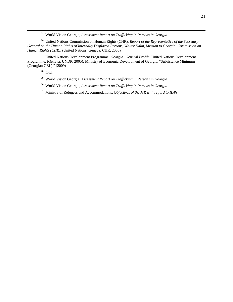<sup>25</sup> World Vision Georgia, *Assessment Report on Trafficking in Persons in Georgia*

<sup>26</sup> United Nations Commission on Human Rights (CHR), *Report of the Representative of the Secretary-General on the Human Rights of Internally Displaced Persons, Walter Kalin, Mission to Georgia. Commission on Human Rights (CHR),* (United Nations, Geneva: CHR, 2006)

<sup>27</sup> United Nations Development Programme, *Georgia: General Profile.* United Nations Development Programme, (Geneva: UNDP, 2005); Ministry of Economic Development of Georgia, "Subsistence Minimum (Georgian GEL)." (2009)

 $^{28}$  Ibid.

- <sup>29</sup> World Vision Georgia, *Assessment Report on Trafficking in Persons in Georgia*
- <sup>30</sup> World Vision Georgia, *Assessment Report on Trafficking in Persons in Georgia*
- <sup>31</sup> Ministry of Refugees and Accommodations, *Objectives of the MR with regard to IDPs*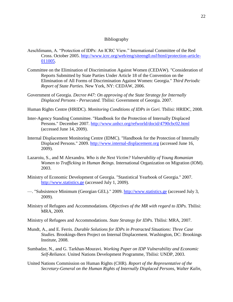#### Bibliography

- Aeschlimann, A. "Protection of IDPs: An ICRC View." International Committee of the Red Cross. October 2005. [http://www.icrc.org/web/eng/siteeng0.nsf/html/protection-article-](http://www.icrc.org/web/eng/siteeng0.nsf/html/protection-article-011005)[011005.](http://www.icrc.org/web/eng/siteeng0.nsf/html/protection-article-011005)
- Committee on the Elimination of Discrimination Against Women (CEDAW). "Consideration of Reports Submitted by State Parties Under Article 18 of the Convention on the Elimination of All Forms of Discrimination Against Women: Georgia." *Third Periodic Report of State Parties.* New York, NY: CEDAW, 2006.
- Government of Georgia. *Decree #47: On approving of the State Strategy for Internally Displaced Persons - Persecuted.* Tbilisi: Government of Georgia. 2007.
- Human Rights Centre (HRIDC). *Monitoring Conditions of IDPs in Gori.* Tbilisi: HRIDC, 2008.
- Inter-Agency Standing Committee. "Handbook for the Protection of Internally Displaced Persons." December 2007.<http://www.unhcr.org/refworld/docid/4790cbc02.html> (accessed June 14, 2009).
- Internal Displacement Monitoring Centre (IDMC). "Handbook for the Protection of Internally Displaced Persons." 2009. [http://www.internal-displacement.org](http://www.internal-displacement.org/) (accessed June 16, 2009).
- Lazaroiu, S., and M Alexandru. *Who is the Next Victim? Vulnerability of Young Romanian Women to Trafficking in Human Beings.* International Organization on Migration (IOM). 2003.
- Ministry of Economic Development of Georgia. "Stastistical Yearbook of Georgia." 2007. [http://www.statistics.ge](http://www.statistics.ge/) (accessed July 1, 2009).
- —. "Subsistence Minimum (Georgian GEL)." 2009. [http://www.statistics.ge](http://www.statistics.ge/) (accessed July 3, 2009).
- Ministry of Refugees and Accommodations. *Objectives of the MR with regard to IDPs.* Tbilisi: MRA, 2009.
- Ministry of Refugees and Accommodations. *State Strategy for IDPs.* Tbilisi: MRA, 2007.
- Mundt, A., and E. Ferris. *Durable Solutions for IDPs in Protracted Situations: Three Case Studies.* Brookings-Bern Project on Internal Displacement. Washington, DC: Brookings Institute, 2008.
- Sumbadze, N., and G. Tarkhan-Mouravi. *Working Paper on IDP Vulnerability and Economic Self-Reliance.* United Nations Development Programme, Tbilisi: UNDP, 2003.
- United Nations Commission on Human Rights (CHR). *Report of the Representative of the Secretary-General on the Human Rights of Internally Displaced Persons, Walter Kalin,*